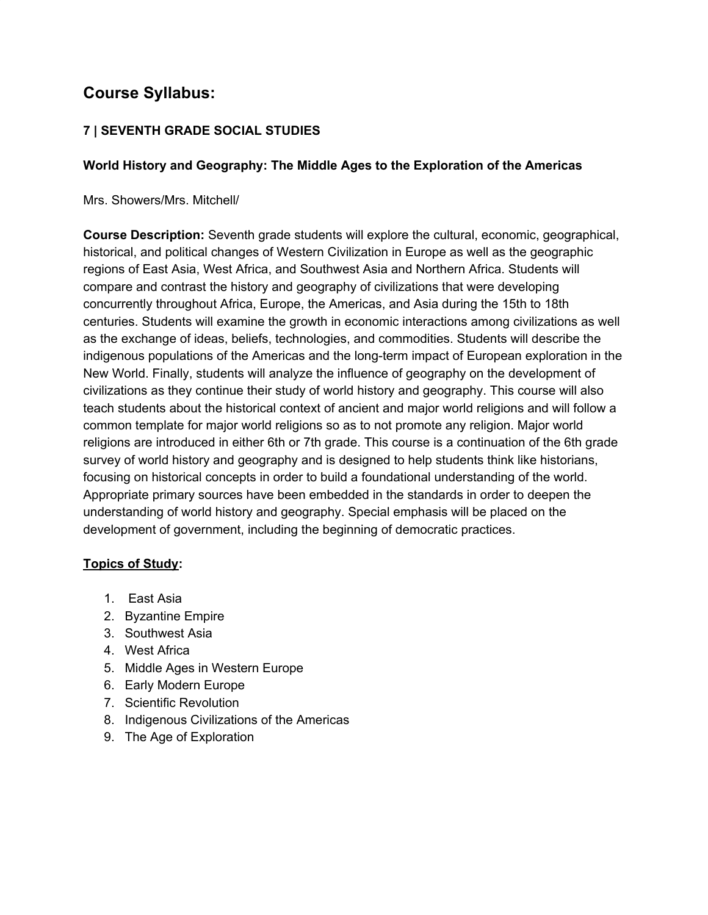# **Course Syllabus:**

## **7 | SEVENTH GRADE SOCIAL STUDIES**

### **World History and Geography: The Middle Ages to the Exploration of the Americas**

Mrs. Showers/Mrs. Mitchell/

**Course Description:** Seventh grade students will explore the cultural, economic, geographical, historical, and political changes of Western Civilization in Europe as well as the geographic regions of East Asia, West Africa, and Southwest Asia and Northern Africa. Students will compare and contrast the history and geography of civilizations that were developing concurrently throughout Africa, Europe, the Americas, and Asia during the 15th to 18th centuries. Students will examine the growth in economic interactions among civilizations as well as the exchange of ideas, beliefs, technologies, and commodities. Students will describe the indigenous populations of the Americas and the long-term impact of European exploration in the New World. Finally, students will analyze the influence of geography on the development of civilizations as they continue their study of world history and geography. This course will also teach students about the historical context of ancient and major world religions and will follow a common template for major world religions so as to not promote any religion. Major world religions are introduced in either 6th or 7th grade. This course is a continuation of the 6th grade survey of world history and geography and is designed to help students think like historians, focusing on historical concepts in order to build a foundational understanding of the world. Appropriate primary sources have been embedded in the standards in order to deepen the understanding of world history and geography. Special emphasis will be placed on the development of government, including the beginning of democratic practices.

#### **Topics of Study:**

- 1. East Asia
- 2. Byzantine Empire
- 3. Southwest Asia
- 4. West Africa
- 5. Middle Ages in Western Europe
- 6. Early Modern Europe
- 7. Scientific Revolution
- 8. Indigenous Civilizations of the Americas
- 9. The Age of Exploration